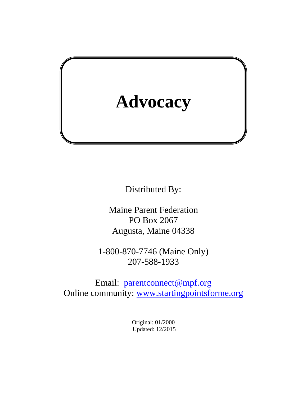Distributed By:

Maine Parent Federation PO Box 2067 Augusta, Maine 04338

1-800-870-7746 (Maine Only) 207-588-1933

Email: [parentconnect@mpf.org](mailto:parentconnect@mpf.org) Online community: [www.startingpointsforme.org](http://www.startingpointsforme.org/)

> Original: 01/2000 Updated: 12/2015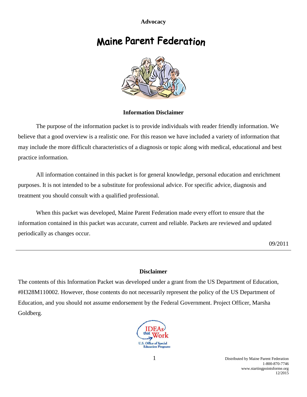# **Maine Parent Federation**



#### **Information Disclaimer**

The purpose of the information packet is to provide individuals with reader friendly information. We believe that a good overview is a realistic one. For this reason we have included a variety of information that may include the more difficult characteristics of a diagnosis or topic along with medical, educational and best practice information.

All information contained in this packet is for general knowledge, personal education and enrichment purposes. It is not intended to be a substitute for professional advice. For specific advice, diagnosis and treatment you should consult with a qualified professional.

When this packet was developed, Maine Parent Federation made every effort to ensure that the information contained in this packet was accurate, current and reliable. Packets are reviewed and updated periodically as changes occur.

#### **Disclaimer**

The contents of this Information Packet was developed under a grant from the US Department of Education, #H328M110002. However, those contents do not necessarily represent the policy of the US Department of Education, and you should not assume endorsement by the Federal Government. Project Officer, Marsha Goldberg.

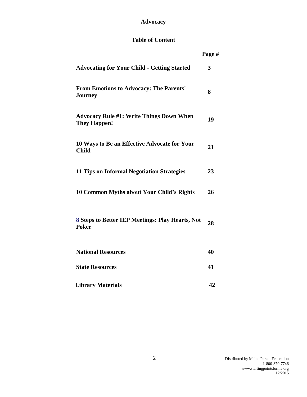# **Table of Content**

|                                                                        | Page # |
|------------------------------------------------------------------------|--------|
| <b>Advocating for Your Child - Getting Started</b>                     | 3      |
| <b>From Emotions to Advocacy: The Parents'</b><br><b>Journey</b>       | 8      |
| <b>Advocacy Rule #1: Write Things Down When</b><br><b>They Happen!</b> | 19     |
| 10 Ways to Be an Effective Advocate for Your<br><b>Child</b>           | 21     |
| <b>11 Tips on Informal Negotiation Strategies</b>                      | 23     |
| <b>10 Common Myths about Your Child's Rights</b>                       | 26     |
| 8 Steps to Better IEP Meetings: Play Hearts, Not<br>Poker              | 28     |
| <b>National Resources</b>                                              | 40     |
| <b>State Resources</b>                                                 | 41     |
| <b>Library Materials</b>                                               | 42     |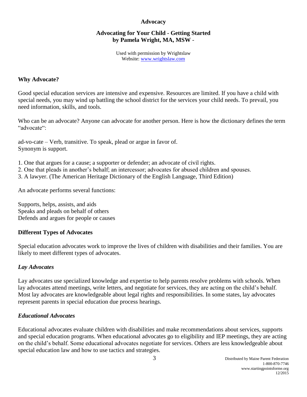# **Advocating for Your Child - Getting Started by Pamela Wright, MA, MSW** -

Used with permission by Wrightslaw Website: [www.wrightslaw.com](http://www.wrightslaw.com/)

#### **Why Advocate?**

Good special education services are intensive and expensive. Resources are limited. If you have a child with special needs, you may wind up battling the school district for the services your child needs. To prevail, you need information, skills, and tools.

Who can be an advocate? Anyone can advocate for another person. Here is how the dictionary defines the term "advocate":

ad-vo-cate – Verb, transitive. To speak, plead or argue in favor of. Synonym is support.

- 1. One that argues for a cause; a supporter or defender; an advocate of civil rights.
- 2. One that pleads in another's behalf; an intercessor; advocates for abused children and spouses.
- 3. A lawyer. (The American Heritage Dictionary of the English Language, Third Edition)

An advocate performs several functions:

Supports, helps, assists, and aids Speaks and pleads on behalf of others Defends and argues for people or causes

#### **Different Types of Advocates**

Special education advocates work to improve the lives of children with disabilities and their families. You are likely to meet different types of advocates.

#### *Lay Advocates*

Lay advocates use specialized knowledge and expertise to help parents resolve problems with schools. When lay advocates attend meetings, write letters, and negotiate for services, they are acting on the child's behalf. Most lay advocates are knowledgeable about legal rights and responsibilities. In some states, lay advocates represent parents in special education due process hearings.

#### *Educational Advocates*

Educational advocates evaluate children with disabilities and make recommendations about services, supports and special education programs. When educational advocates go to eligibility and IEP meetings, they are acting on the child's behalf. Some educational advocates negotiate for services. Others are less knowledgeable about special education law and how to use tactics and strategies.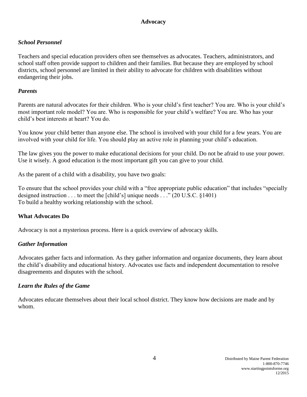# *School Personnel*

Teachers and special education providers often see themselves as advocates. Teachers, administrators, and school staff often provide support to children and their families. But because they are employed by school districts, school personnel are limited in their ability to advocate for children with disabilities without endangering their jobs.

# *Parents*

Parents are natural advocates for their children. Who is your child's first teacher? You are. Who is your child's most important role model? You are. Who is responsible for your child's welfare? You are. Who has your child's best interests at heart? You do.

You know your child better than anyone else. The school is involved with your child for a few years. You are involved with your child for life. You should play an active role in planning your child's education.

The law gives you the power to make educational decisions for your child. Do not be afraid to use your power. Use it wisely. A good education is the most important gift you can give to your child.

As the parent of a child with a disability, you have two goals:

To ensure that the school provides your child with a "free appropriate public education" that includes "specially designed instruction . . . to meet the [child's] unique needs . . ." (20 U.S.C. §1401) To build a healthy working relationship with the school.

# **What Advocates Do**

Advocacy is not a mysterious process. Here is a quick overview of advocacy skills.

# *Gather Information*

Advocates gather facts and information. As they gather information and organize documents, they learn about the child's disability and educational history. Advocates use facts and independent documentation to resolve disagreements and disputes with the school.

# *Learn the Rules of the Game*

Advocates educate themselves about their local school district. They know how decisions are made and by whom.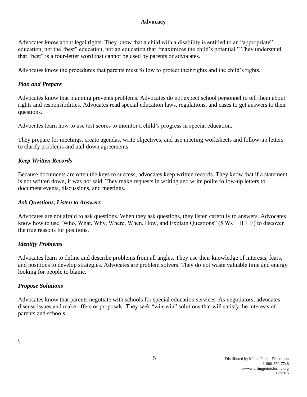Advocates know about legal rights. They know that a child with a disability is entitled to an "appropriate" education, not the "best" education, nor an education that "maximizes the child's potential." They understand that "best" is a four-letter word that cannot be used by parents or advocates.

Advocates know the procedures that parents must follow to protect their rights and the child's rights.

# *Plan and Prepare*

Advocates know that planning prevents problems. Advocates do not expect school personnel to tell them about rights and responsibilities. Advocates read special education laws, regulations, and cases to get answers to their questions.

Advocates learn how to use test scores to monitor a child's progress in special education.

They prepare for meetings, create agendas, write objectives, and use meeting worksheets and follow-up letters to clarify problems and nail down agreements.

# *Keep Written Records*

Because documents are often the keys to success, advocates keep written records. They know that if a statement is not written down, it was not said. They make requests in writing and write polite follow-up letters to document events, discussions, and meetings.

# *Ask Questions, Listen to Answers*

Advocates are not afraid to ask questions. When they ask questions, they listen carefully to answers. Advocates know how to use "Who, What, Why, Where, When, How, and Explain Questions" (5 Ws  $+$  H  $+$  E) to discover the true reasons for positions.

# *Identify Problems*

Advocates learn to define and describe problems from all angles. They use their knowledge of interests, fears, and positions to develop strategies. Advocates are problem solvers. They do not waste valuable time and energy looking for people to blame.

# *Propose Solutions*

Advocates know that parents negotiate with schools for special education services. As negotiators, advocates discuss issues and make offers or proposals. They seek "win-win" solutions that will satisfy the interests of parents and schools.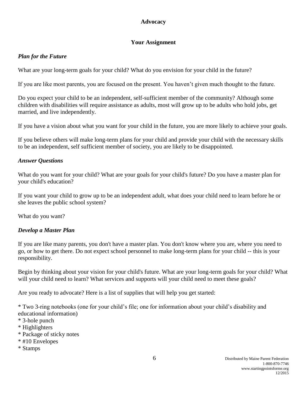# **Your Assignment**

# *Plan for the Future*

What are your long-term goals for your child? What do you envision for your child in the future?

If you are like most parents, you are focused on the present. You haven't given much thought to the future.

Do you expect your child to be an independent, self-sufficient member of the community? Although some children with disabilities will require assistance as adults, most will grow up to be adults who hold jobs, get married, and live independently.

If you have a vision about what you want for your child in the future, you are more likely to achieve your goals.

If you believe others will make long-term plans for your child and provide your child with the necessary skills to be an independent, self sufficient member of society, you are likely to be disappointed.

# *Answer Questions*

What do you want for your child? What are your goals for your child's future? Do you have a master plan for your child's education?

If you want your child to grow up to be an independent adult, what does your child need to learn before he or she leaves the public school system?

What do you want?

# *Develop a Master Plan*

If you are like many parents, you don't have a master plan. You don't know where you are, where you need to go, or how to get there. Do not expect school personnel to make long-term plans for your child -- this is your responsibility.

Begin by thinking about your vision for your child's future. What are your long-term goals for your child? What will your child need to learn? What services and supports will your child need to meet these goals?

Are you ready to advocate? Here is a list of supplies that will help you get started:

\* Two 3-ring notebooks (one for your child's file; one for information about your child's disability and educational information)

- \* 3-hole punch
- \* Highlighters
- \* Package of sticky notes
- \* #10 Envelopes
- \* Stamps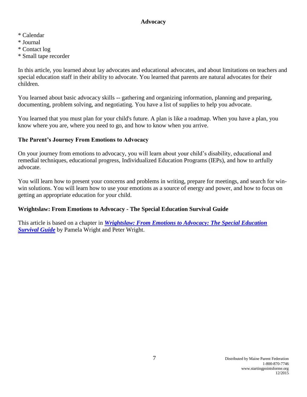- \* Calendar
- \* Journal
- \* Contact log
- \* Small tape recorder

In this article, you learned about lay advocates and educational advocates, and about limitations on teachers and special education staff in their ability to advocate. You learned that parents are natural advocates for their children.

You learned about basic advocacy skills -- gathering and organizing information, planning and preparing, documenting, problem solving, and negotiating. You have a list of supplies to help you advocate.

You learned that you must plan for your child's future. A plan is like a roadmap. When you have a plan, you know where you are, where you need to go, and how to know when you arrive.

# **The Parent's Journey From Emotions to Advocacy**

On your journey from emotions to advocacy, you will learn about your child's disability, educational and remedial techniques, educational progress, Individualized Education Programs (IEPs), and how to artfully advocate.

You will learn how to present your concerns and problems in writing, prepare for meetings, and search for winwin solutions. You will learn how to use your emotions as a source of energy and power, and how to focus on getting an appropriate education for your child.

# **Wrightslaw: From Emotions to Advocacy - The Special Education Survival Guide**

This article is based on a chapter in *[Wrightslaw: From Emotions to Advocacy: The Special Education](http://www.wrightslaw.com/bks/feta2/feta2.htm)  [Survival Guide](http://www.wrightslaw.com/bks/feta2/feta2.htm)* by Pamela Wright and Peter Wright[.](http://www.wrightslaw.com/#Top)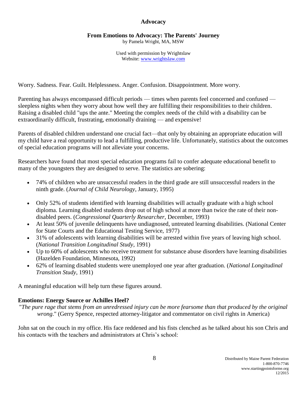# **From Emotions to Advocacy: The Parents' Journey**

by Pamela Wright, MA, MSW

Used with permission by Wrightslaw Website: [www.wrightslaw.com](http://www.wrightslaw.com/)

Worry. Sadness. Fear. Guilt. Helplessness. Anger. Confusion. Disappointment. More worry.

Parenting has always encompassed difficult periods — times when parents feel concerned and confused sleepless nights when they worry about how well they are fulfilling their responsibilities to their children. Raising a disabled child "ups the ante." Meeting the complex needs of the child with a disability can be extraordinarily difficult, frustrating, emotionally draining — and expensive!

Parents of disabled children understand one crucial fact—that only by obtaining an appropriate education will my child have a real opportunity to lead a fulfilling, productive life. Unfortunately, statistics about the outcomes of special education programs will not alleviate your concerns.

Researchers have found that most special education programs fail to confer adequate educational benefit to many of the youngsters they are designed to serve. The statistics are sobering:

- 74% of children who are unsuccessful readers in the third grade are still unsuccessful readers in the ninth grade. (*Journal of Child Neurology*, January, 1995)
- Only 52% of students identified with learning disabilities will actually graduate with a high school diploma. Learning disabled students drop out of high school at more than twice the rate of their nondisabled peers. (*Congressional Quarterly Researcher*, December, 1993)
- At least 50% of juvenile delinquents have undiagnosed, untreated learning disabilities. (National Center for State Courts and the Educational Testing Service, 1977)
- 31% of adolescents with learning disabilities will be arrested within five years of leaving high school. (*National Transition Longitudinal Study*, 1991)
- Up to 60% of adolescents who receive treatment for substance abuse disorders have learning disabilities (Hazelden Foundation, Minnesota, 1992)
- 62% of learning disabled students were unemployed one year after graduation. (*National Longitudinal Transition Study*, 1991)

A meaningful education will help turn these figures around.

# **Emotions: Energy Source or Achilles Heel?**

"*The pure rage that stems from an unredressed injury can be more fearsome than that produced by the original wrong*." (Gerry Spence, respected attorney-litigator and commentator on civil rights in America)

John sat on the couch in my office. His face reddened and his fists clenched as he talked about his son Chris and his contacts with the teachers and administrators at Chris's school: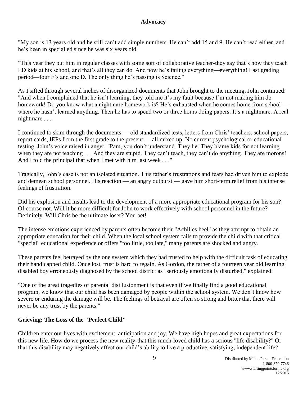"My son is 13 years old and he still can't add simple numbers. He can't add 15 and 9. He can't read either, and he's been in special ed since he was six years old.

"This year they put him in regular classes with some sort of collaborative teacher-they say that's how they teach LD kids at his school, and that's all they can do. And now he's failing everything—everything! Last grading period—four F's and one D. The only thing he's passing is Science."

As I sifted through several inches of disorganized documents that John brought to the meeting, John continued: "And when I complained that he isn't learning, they told me it's my fault because I'm not making him do homework! Do you know what a nightmare homework is? He's exhausted when he comes home from school where he hasn't learned anything. Then he has to spend two or three hours doing papers. It's a nightmare. A real nightmare . . .

I continued to skim through the documents — old standardized tests, letters from Chris' teachers, school papers, report cards, IEPs from the first grade to the present — all mixed up. No current psychological or educational testing. John's voice raised in anger: "Pam, you don't understand. They lie. They blame kids for not learning when they are not teaching . . . And they are stupid. They can't teach, they can't do anything. They are morons! And I told the principal that when I met with him last week . . ."

Tragically, John's case is not an isolated situation. This father's frustrations and fears had driven him to explode and demean school personnel. His reaction — an angry outburst — gave him short-term relief from his intense feelings of frustration.

Did his explosion and insults lead to the development of a more appropriate educational program for his son? Of course not. Will it be more difficult for John to work effectively with school personnel in the future? Definitely. Will Chris be the ultimate loser? You bet!

The intense emotions experienced by parents often become their "Achilles heel" as they attempt to obtain an appropriate education for their child. When the local school system fails to provide the child with that critical "special" educational experience or offers "too little, too late," many parents are shocked and angry.

These parents feel betrayed by the one system which they had trusted to help with the difficult task of educating their handicapped child. Once lost, trust is hard to regain. As Gordon, the father of a fourteen year old learning disabled boy erroneously diagnosed by the school district as "seriously emotionally disturbed," explained:

"One of the great tragedies of parental disillusionment is that even if we finally find a good educational program, we know that our child has been damaged by people within the school system. We don't know how severe or enduring the damage will be. The feelings of betrayal are often so strong and bitter that there will never be any trust by the parents."

# **Grieving: The Loss of the "Perfect Child"**

Children enter our lives with excitement, anticipation and joy. We have high hopes and great expectations for this new life. How do we process the new reality-that this much-loved child has a serious "life disability?" Or that this disability may negatively affect our child's ability to live a productive, satisfying, independent life?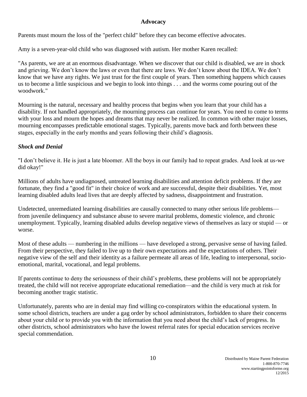Parents must mourn the loss of the "perfect child" before they can become effective advocates.

Amy is a seven-year-old child who was diagnosed with autism. Her mother Karen recalled:

"As parents, we are at an enormous disadvantage. When we discover that our child is disabled, we are in shock and grieving. We don't know the laws or even that there are laws. We don't know about the IDEA. We don't know that we have any rights. We just trust for the first couple of years. Then something happens which causes us to become a little suspicious and we begin to look into things . . . and the worms come pouring out of the woodwork."

Mourning is the natural, necessary and healthy process that begins when you learn that your child has a disability. If not handled appropriately, the mourning process can continue for years. You need to come to terms with your loss and mourn the hopes and dreams that may never be realized. In common with other major losses, mourning encompasses predictable emotional stages. Typically, parents move back and forth between these stages, especially in the early months and years following their child's diagnosis.

# *Shock and Denial*

"I don't believe it. He is just a late bloomer. All the boys in our family had to repeat grades. And look at us-we did okay!"

Millions of adults have undiagnosed, untreated learning disabilities and attention deficit problems. If they are fortunate, they find a "good fit" in their choice of work and are successful, despite their disabilities. Yet, most learning disabled adults lead lives that are deeply affected by sadness, disappointment and frustration.

Undetected, unremediated learning disabilities are causally connected to many other serious life problems from juvenile delinquency and substance abuse to severe marital problems, domestic violence, and chronic unemployment. Typically, learning disabled adults develop negative views of themselves as lazy or stupid — or worse.

Most of these adults — numbering in the millions — have developed a strong, pervasive sense of having failed. From their perspective, they failed to live up to their own expectations and the expectations of others. Their negative view of the self and their identity as a failure permeate all areas of life, leading to interpersonal, socioemotional, marital, vocational, and legal problems.

If parents continue to deny the seriousness of their child's problems, these problems will not be appropriately treated, the child will not receive appropriate educational remediation—and the child is very much at risk for becoming another tragic statistic.

Unfortunately, parents who are in denial may find willing co-conspirators within the educational system. In some school districts, teachers are under a gag order by school administrators, forbidden to share their concerns about your child or to provide you with the information that you need about the child's lack of progress. In other districts, school administrators who have the lowest referral rates for special education services receive special commendation.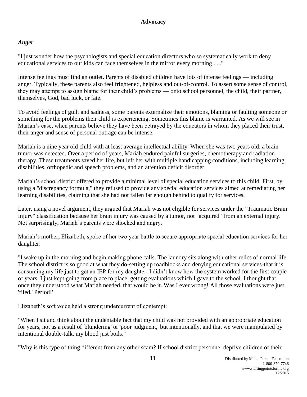# *Anger*

"I just wonder how the psychologists and special education directors who so systematically work to deny educational services to our kids can face themselves in the mirror every morning . . ."

Intense feelings must find an outlet. Parents of disabled children have lots of intense feelings — including anger. Typically, these parents also feel frightened, helpless and out-of-control. To assert some sense of control, they may attempt to assign blame for their child's problems — onto school personnel, the child, their partner, themselves, God, bad luck, or fate.

To avoid feelings of guilt and sadness, some parents externalize their emotions, blaming or faulting someone or something for the problems their child is experiencing. Sometimes this blame is warranted. As we will see in Mariah's case, when parents believe they have been betrayed by the educators in whom they placed their trust, their anger and sense of personal outrage can be intense.

Mariah is a nine year old child with at least average intellectual ability. When she was two years old, a brain tumor was detected. Over a period of years, Mariah endured painful surgeries, chemotherapy and radiation therapy. These treatments saved her life, but left her with multiple handicapping conditions, including learning disabilities, orthopedic and speech problems, and an attention deficit disorder.

Mariah's school district offered to provide a minimal level of special education services to this child. First, by using a "discrepancy formula," they refused to provide any special education services aimed at remediating her learning disabilities, claiming that she had not fallen far enough behind to qualify for services.

Later, using a novel argument, they argued that Mariah was not eligible for services under the "Traumatic Brain Injury" classification because her brain injury was caused by a tumor, not "acquired" from an external injury. Not surprisingly, Mariah's parents were shocked and angry.

Mariah's mother, Elizabeth, spoke of her two year battle to secure appropriate special education services for her daughter:

"I wake up in the morning and begin making phone calls. The laundry sits along with other relics of normal life. The school district is so good at what they do-setting up roadblocks and denying educational services-that it is consuming my life just to get an IEP for my daughter. I didn't know how the system worked for the first couple of years. I just kept going from place to place, getting evaluations which I gave to the school. I thought that once they understood what Mariah needed, that would be it. Was I ever wrong! All those evaluations were just 'filed.' Period!'

Elizabeth's soft voice held a strong undercurrent of contempt:

"When I sit and think about the undeniable fact that my child was not provided with an appropriate education for years, not as a result of 'blundering' or 'poor judgment,' but intentionally, and that we were manipulated by intentional double-talk, my blood just boils."

"Why is this type of thing different from any other scam? If school district personnel deprive children of their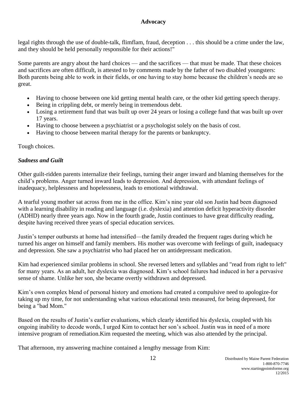legal rights through the use of double-talk, flimflam, fraud, deception . . . this should be a crime under the law, and they should be held personally responsible for their actions!"

Some parents are angry about the hard choices — and the sacrifices — that must be made. That these choices and sacrifices are often difficult, is attested to by comments made by the father of two disabled youngsters: Both parents being able to work in their fields, or one having to stay home because the children's needs are so great.

- Having to choose between one kid getting mental health care, or the other kid getting speech therapy.
- Being in crippling debt, or merely being in tremendous debt.
- Losing a retirement fund that was built up over 24 years or losing a college fund that was built up over 17 years.
- Having to choose between a psychiatrist or a psychologist solely on the basis of cost.
- Having to choose between marital therapy for the parents or bankruptcy.

Tough choices.

# *Sadness and Guilt*

Other guilt-ridden parents internalize their feelings, turning their anger inward and blaming themselves for the child's problems. Anger turned inward leads to depression. And depression, with attendant feelings of inadequacy, helplessness and hopelessness, leads to emotional withdrawal.

A tearful young mother sat across from me in the office. Kim's nine year old son Justin had been diagnosed with a learning disability in reading and language (i.e. dyslexia) and attention deficit hyperactivity disorder (ADHD) nearly three years ago. Now in the fourth grade, Justin continues to have great difficulty reading, despite having received three years of special education services.

Justin's temper outbursts at home had intensified—the family dreaded the frequent rages during which he turned his anger on himself and family members. His mother was overcome with feelings of guilt, inadequacy and depression. She saw a psychiatrist who had placed her on antidepressant medication.

Kim had experienced similar problems in school. She reversed letters and syllables and "read from right to left" for many years. As an adult, her dyslexia was diagnosed. Kim's school failures had induced in her a pervasive sense of shame. Unlike her son, she became overtly withdrawn and depressed.

Kim's own complex blend of personal history and emotions had created a compulsive need to apologize-for taking up my time, for not understanding what various educational tests measured, for being depressed, for being a "bad Mom."

Based on the results of Justin's earlier evaluations, which clearly identified his dyslexia, coupled with his ongoing inability to decode words, I urged Kim to contact her son's school. Justin was in need of a more intensive program of remediation.Kim requested the meeting, which was also attended by the principal.

That afternoon, my answering machine contained a lengthy message from Kim: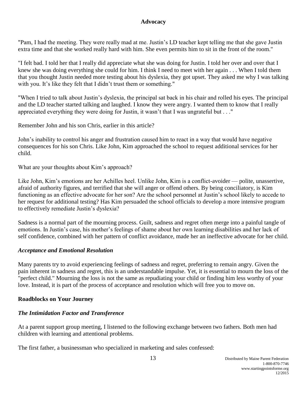"Pam, I had the meeting. They were really mad at me. Justin's LD teacher kept telling me that she gave Justin extra time and that she worked really hard with him. She even permits him to sit in the front of the room."

"I felt bad. I told her that I really did appreciate what she was doing for Justin. I told her over and over that I knew she was doing everything she could for him. I think I need to meet with her again . . . When I told them that you thought Justin needed more testing about his dyslexia, they got upset. They asked me why I was talking with you. It's like they felt that I didn't trust them or something."

"When I tried to talk about Justin's dyslexia, the principal sat back in his chair and rolled his eyes. The principal and the LD teacher started talking and laughed. I know they were angry. I wanted them to know that I really appreciated everything they were doing for Justin, it wasn't that I was ungrateful but . . ."

Remember John and his son Chris, earlier in this article?

John's inability to control his anger and frustration caused him to react in a way that would have negative consequences for his son Chris. Like John, Kim approached the school to request additional services for her child.

What are your thoughts about Kim's approach?

Like John, Kim's emotions are her Achilles heel. Unlike John, Kim is a conflict-avoider — polite, unassertive, afraid of authority figures, and terrified that she will anger or offend others. By being conciliatory, is Kim functioning as an effective advocate for her son? Are the school personnel at Justin's school likely to accede to her request for additional testing? Has Kim persuaded the school officials to develop a more intensive program to effectively remediate Justin's dyslexia?

Sadness is a normal part of the mourning process. Guilt, sadness and regret often merge into a painful tangle of emotions. In Justin's case, his mother's feelings of shame about her own learning disabilities and her lack of self confidence, combined with her pattern of conflict avoidance, made her an ineffective advocate for her child.

# *Acceptance and Emotional Resolution*

Many parents try to avoid experiencing feelings of sadness and regret, preferring to remain angry. Given the pain inherent in sadness and regret, this is an understandable impulse. Yet, it is essential to mourn the loss of the "perfect child." Mourning the loss is not the same as repudiating your child or finding him less worthy of your love. Instead, it is part of the process of acceptance and resolution which will free you to move on.

# **Roadblocks on Your Journey**

# *The Intimidation Factor and Transference*

At a parent support group meeting, I listened to the following exchange between two fathers. Both men had children with learning and attentional problems.

The first father, a businessman who specialized in marketing and sales confessed: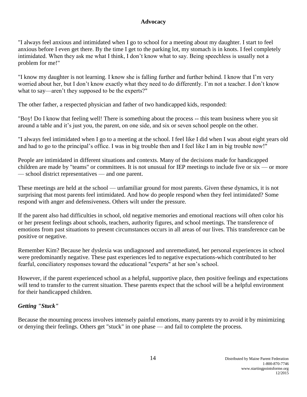"I always feel anxious and intimidated when I go to school for a meeting about my daughter. I start to feel anxious before I even get there. By the time I get to the parking lot, my stomach is in knots. I feel completely intimidated. When they ask me what I think, I don't know what to say. Being speechless is usually not a problem for me!"

"I know my daughter is not learning. I know she is falling further and further behind. I know that I'm very worried about her, but I don't know exactly what they need to do differently. I'm not a teacher. I don't know what to say—aren't they supposed to be the experts?"

The other father, a respected physician and father of two handicapped kids, responded:

"Boy! Do I know that feeling well! There is something about the process -- this team business where you sit around a table and it's just you, the parent, on one side, and six or seven school people on the other.

"I always feel intimidated when I go to a meeting at the school. I feel like I did when I was about eight years old and had to go to the principal's office. I was in big trouble then and I feel like I am in big trouble now!"

People are intimidated in different situations and contexts. Many of the decisions made for handicapped children are made by "teams" or committees. It is not unusual for IEP meetings to include five or six — or more — school district representatives — and one parent.

These meetings are held at the school — unfamiliar ground for most parents. Given these dynamics, it is not surprising that most parents feel intimidated. And how do people respond when they feel intimidated? Some respond with anger and defensiveness. Others wilt under the pressure.

If the parent also had difficulties in school, old negative memories and emotional reactions will often color his or her present feelings about schools, teachers, authority figures, and school meetings. The transference of emotions from past situations to present circumstances occurs in all areas of our lives. This transference can be positive or negative.

Remember Kim? Because her dyslexia was undiagnosed and unremediated, her personal experiences in school were predominantly negative. These past experiences led to negative expectations-which contributed to her fearful, conciliatory responses toward the educational "experts" at her son's school.

However, if the parent experienced school as a helpful, supportive place, then positive feelings and expectations will tend to transfer to the current situation. These parents expect that the school will be a helpful environment for their handicapped children.

# *Getting "Stuck"*

Because the mourning process involves intensely painful emotions, many parents try to avoid it by minimizing or denying their feelings. Others get "stuck" in one phase — and fail to complete the process.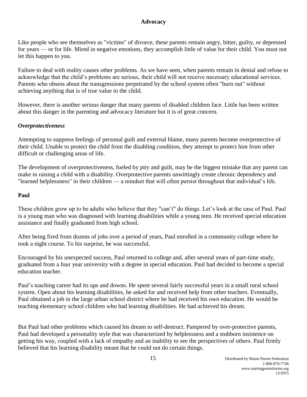Like people who see themselves as "victims" of divorce, these parents remain angry, bitter, guilty, or depressed for years — or for life. Mired in negative emotions, they accomplish little of value for their child. You must not let this happen to you.

Failure to deal with reality causes other problems. As we have seen, when parents remain in denial and refuse to acknowledge that the child's problems are serious, their child will not receive necessary educational services. Parents who obsess about the transgressions perpetrated by the school system often "burn out" without achieving anything that is of true value to the child.

However, there is another serious danger that many parents of disabled children face. Little has been written about this danger in the parenting and advocacy literature but it is of great concern.

#### *Overprotectiveness*

Attempting to suppress feelings of personal guilt and external blame, many parents become overprotective of their child. Unable to protect the child from the disabling condition, they attempt to protect him from other difficult or challenging areas of life.

The development of overprotectiveness, fueled by pity and guilt, may be the biggest mistake that any parent can make in raising a child with a disability. Overprotective parents unwittingly create chronic dependency and "learned helplessness" in their children — a mindset that will often persist throughout that individual's life.

#### **Paul**

These children grow up to be adults who believe that they "can't" do things. Let's look at the case of Paul. Paul is a young man who was diagnosed with learning disabilities while a young teen. He received special education assistance and finally graduated from high school.

After being fired from dozens of jobs over a period of years, Paul enrolled in a community college where he took a night course. To his surprise, he was successful.

Encouraged by his unexpected success, Paul returned to college and, after several years of part-time study, graduated from a four year university with a degree in special education. Paul had decided to become a special education teacher.

Paul's teaching career had its ups and downs. He spent several fairly successful years in a small rural school system. Open about his learning disabilities, he asked for and received help from other teachers. Eventually, Paul obtained a job in the large urban school district where he had received his own education. He would be teaching elementary school children who had learning disabilities. He had achieved his dream.

But Paul had other problems which caused his dream to self-destruct. Pampered by over-protective parents, Paul had developed a personality style that was characterized by helplessness and a stubborn insistence on getting his way, coupled with a lack of empathy and an inability to see the perspectives of others. Paul firmly believed that his learning disability meant that he could not do certain things.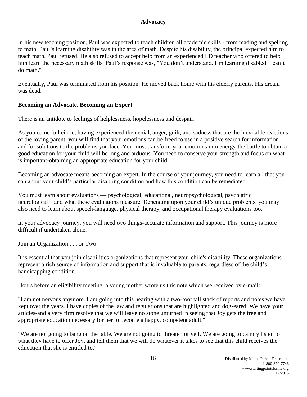In his new teaching position, Paul was expected to teach children all academic skills - from reading and spelling to math. Paul's learning disability was in the area of math. Despite his disability, the principal expected him to teach math. Paul refused. He also refused to accept help from an experienced LD teacher who offered to help him learn the necessary math skills. Paul's response was, "You don't understand. I'm learning disabled. I can't do math."

Eventually, Paul was terminated from his position. He moved back home with his elderly parents. His dream was dead.

# **Becoming an Advocate, Becoming an Expert**

There is an antidote to feelings of helplessness, hopelessness and despair.

As you come full circle, having experienced the denial, anger, guilt, and sadness that are the inevitable reactions of the loving parent, you will find that your emotions can be freed to use in a positive search for information and for solutions to the problems you face. You must transform your emotions into energy-the battle to obtain a good education for your child will be long and arduous. You need to conserve your strength and focus on what is important-obtaining an appropriate education for your child.

Becoming an advocate means becoming an expert. In the course of your journey, you need to learn all that you can about your child's particular disabling condition and how this condition can be remediated.

You must learn about evaluations — psychological, educational, neuropsychological, psychiatric neurological—and what these evaluations measure. Depending upon your child's unique problems, you may also need to learn about speech-language, physical therapy, and occupational therapy evaluations too.

In your advocacy journey, you will need two things-accurate information and support. This journey is more difficult if undertaken alone.

Join an Organization . . . or Two

It is essential that you join disabilities organizations that represent your child's disability. These organizations represent a rich source of information and support that is invaluable to parents, regardless of the child's handicapping condition.

Hours before an eligibility meeting, a young mother wrote us this note which we received by e-mail:

"I am not nervous anymore. I am going into this hearing with a two-foot tall stack of reports and notes we have kept over the years. I have copies of the law and regulations that are highlighted and dog-eared. We have your articles-and a very firm resolve that we will leave no stone unturned in seeing that Joy gets the free and appropriate education necessary for her to become a happy, competent adult."

"We are not going to bang on the table. We are not going to threaten or yell. We are going to calmly listen to what they have to offer Joy, and tell them that we will do whatever it takes to see that this child receives the education that she is entitled to."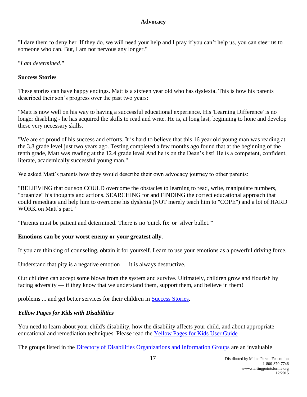"I dare them to deny her. If they do, we will need your help and I pray if you can't help us, you can steer us to someone who can. But, I am not nervous any longer."

"*I am determined."* 

# **Success Stories**

These stories can have happy endings. Matt is a sixteen year old who has dyslexia. This is how his parents described their son's progress over the past two years:

"Matt is now well on his way to having a successful educational experience. His 'Learning Difference' is no longer disabling - he has acquired the skills to read and write. He is, at long last, beginning to hone and develop these very necessary skills.

"We are so proud of his success and efforts. It is hard to believe that this 16 year old young man was reading at the 3.8 grade level just two years ago. Testing completed a few months ago found that at the beginning of the tenth grade, Matt was reading at the 12.4 grade level And he is on the Dean's list! He is a competent, confident, literate, academically successful young man."

We asked Matt's parents how they would describe their own advocacy journey to other parents:

"BELIEVING that our son COULD overcome the obstacles to learning to read, write, manipulate numbers, "organize" his thoughts and actions. SEARCHING for and FINDING the correct educational approach that could remediate and help him to overcome his dyslexia (NOT merely teach him to "COPE") and a lot of HARD WORK on Matt's part."

"Parents must be patient and determined. There is no 'quick fix' or 'silver bullet.'"

# **Emotions can be your worst enemy or your greatest ally**.

If you are thinking of counseling, obtain it for yourself. Learn to use your emotions as a powerful driving force.

Understand that pity is a negative emotion — it is always destructive.

Our children can accept some blows from the system and survive. Ultimately, children grow and flourish by facing adversity — if they know that we understand them, support them, and believe in them!

problems ... and get better services for their children in [Success Stories.](http://www.fetaweb.com/success.htm)

# *Yellow Pages for Kids with Disabilities*

You need to learn about your child's disability, how the disability affects your child, and about appropriate educational and remediation techniques. Please read the [Yellow Pages for Kids User Guide](http://www.yellowpagesforkids.com/yp.user.guide.htm)

The groups listed in the [Directory of Disabilities Organizations and Information Groups](http://www.yellowpagesforkids.com/help/dis.orgs.htm) are an invaluable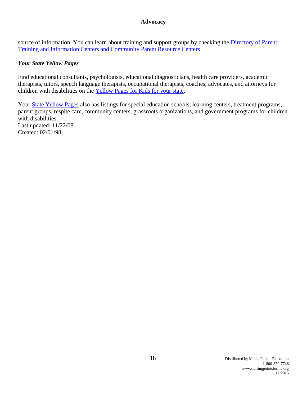source of information. You can learn about training and support groups by checking the Directory of Parent [Training and Information Centers and Community Parent Resource Centers](http://www.yellowpagesforkids.com/help/ptis.htm)

# *Your State Yellow Pages*

Find educational consultants, psychologists, educational diagnosticians, health care providers, academic therapists, tutors, speech language therapists, occupational therapists, coaches, advocates, and attorneys for children with disabilities on the [Yellow Pages for Kids for your state.](http://www.yellowpagesforkids.com/help/states.htm)

Your [State Yellow Pages](http://www.yellowpagesforkids.com/help/states.htm) also has listings for special education schools, learning centers, treatment programs, parent groups, respite care, community centers, grassroots organizations, and government programs for children with disabilities. Last updated: 11/22/08 Created: 02/01/98

> 18 Distributed by Maine Parent Federation 1-800-870-7746 www.startingpointsforme.org 12/2015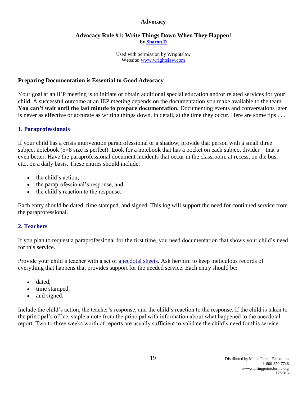#### **Advocacy Rule #1: Write Things Down When They Happen! by [Sharon D](http://)**

Used with permission by Wrightslaw Website: [www.wrightslaw.com](http://www.wrightslaw.com/)

#### **Preparing Documentation is Essential to Good Advocacy**

Your goal at an IEP meeting is to initiate or obtain additional special education and/or related services for your child. A successful outcome at an IEP meeting depends on the documentation you make available to the team. **You can't wait until the last minute to prepare documentation.** Documenting events and conversations later is never as effective or accurate as writing things down, in detail, at the time they occur. Here are some tips . . .

#### **1. Paraprofessionals**

If your child has a crisis intervention paraprofessional or a shadow, provide that person with a small three subject notebook (5×8 size is perfect). Look for a notebook that has a pocket on each subject divider – that's even better. Have the paraprofessional document incidents that occur in the classroom, at recess, on the bus, etc., on a daily basis. These entries should include:

- the child's action.
- the paraprofessional's response, and
- the child's reaction to the response.

Each entry should be dated, time stamped, and signed. This log will support the need for continued service from the paraprofessional.

# **2. Teachers**

If you plan to request a paraprofessional for the first time, you need documentation that shows your child's need for this service.

Provide your child's teacher with a set of [anecdotal sheets.](http://www.wrightslaw.com/blog/anecdotal.form.doc) Ask her/him to keep meticulous records of everything that happens that provides support for the needed service. Each entry should be:

- dated,
- time stamped,
- and signed.

Include the child's action, the teacher's response, and the child's reaction to the response. If the child is taken to the principal's office, staple a note from the principal with information about what happened to the anecdotal report. Two to three weeks worth of reports are usually sufficient to validate the child's need for this service.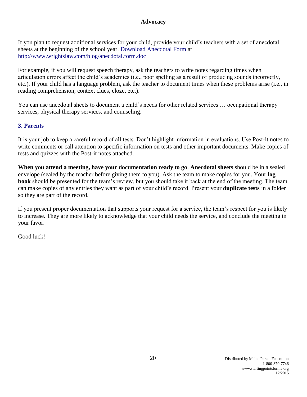If you plan to request additional services for your child, provide your child's teachers with a set of anecdotal sheets at the beginning of the school year. [Download Anecdotal Form](http://www.wrightslaw.com/blog/anecdotal.form.doc) at <http://www.wrightslaw.com/blog/anecdotal.form.doc>

For example, if you will request speech therapy, ask the teachers to write notes regarding times when articulation errors affect the child's academics (i.e., poor spelling as a result of producing sounds incorrectly, etc.). If your child has a language problem, ask the teacher to document times when these problems arise (i.e., in reading comprehension, context clues, cloze, etc.).

You can use anecdotal sheets to document a child's needs for other related services … occupational therapy services, physical therapy services, and counseling.

# **3. Parents**

It is your job to keep a careful record of all tests. Don't highlight information in evaluations. Use Post-it notes to write comments or call attention to specific information on tests and other important documents. Make copies of tests and quizzes with the Post-it notes attached.

**When you attend a meeting, have your documentation ready to go**. **Anecdotal sheets** should be in a sealed envelope (sealed by the teacher before giving them to you). Ask the team to make copies for you. Your **log book** should be presented for the team's review, but you should take it back at the end of the meeting. The team can make copies of any entries they want as part of your child's record. Present your **duplicate tests** in a folder so they are part of the record.

If you present proper documentation that supports your request for a service, the team's respect for you is likely to increase. They are more likely to acknowledge that your child needs the service, and conclude the meeting in your favor.

Good luck!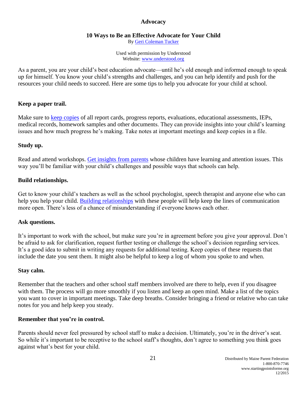#### **10 Ways to Be an Effective Advocate for Your Child**

By [Geri Coleman Tucker](https://www.understood.org/en/about/authors/geri-coleman-tucker)

Used with permission by Understood Website: [www.understood.org](http://www.understood.org/)

As a parent, you are your child's best education advocate—until he's old enough and informed enough to speak up for himself. You know your child's strengths and challenges, and you can help identify and push for the resources your child needs to succeed. Here are some tips to help you advocate for your child at school.

# **Keep a paper trail.**

Make sure to [keep copies](https://www.understood.org/en/learning-attention-issues/understanding-childs-challenges/observing-taking-notes/record-keeping-101-an-overview) of all report cards, progress reports, evaluations, educational assessments, IEPs, medical records, homework samples and other documents. They can provide insights into your child's learning issues and how much progress he's making. Take notes at important meetings and keep copies in a file.

#### **Study up.**

Read and attend workshops. [Get insights from parents](https://www.understood.org/en/community-events/groups) whose children have learning and attention issues. This way you'll be familiar with your child's challenges and possible ways that schools can help.

# **Build relationships.**

Get to know your child's teachers as well as the school psychologist, speech therapist and anyone else who can help you help your child. [Building relationships](https://www.understood.org/en/school-learning/partnering-with-childs-school/working-with-childs-teacher/ways-parents-can-build-good-relationships-with-childs-teacher) with these people will help keep the lines of communication more open. There's less of a chance of misunderstanding if everyone knows each other.

#### **Ask questions.**

It's important to work with the school, but make sure you're in agreement before you give your approval. Don't be afraid to ask for clarification, request further testing or challenge the school's decision regarding services. It's a good idea to submit in writing any requests for additional testing. Keep copies of these requests that include the date you sent them. It might also be helpful to keep a log of whom you spoke to and when.

#### **Stay calm.**

Remember that the teachers and other school staff members involved are there to help, even if you disagree with them. The process will go more smoothly if you listen and keep an open mind. Make a list of the topics you want to cover in important meetings. Take deep breaths. Consider bringing a friend or relative who can take notes for you and help keep you steady.

#### **Remember that you're in control.**

Parents should never feel pressured by school staff to make a decision. Ultimately, you're in the driver's seat. So while it's important to be receptive to the school staff's thoughts, don't agree to something you think goes against what's best for your child.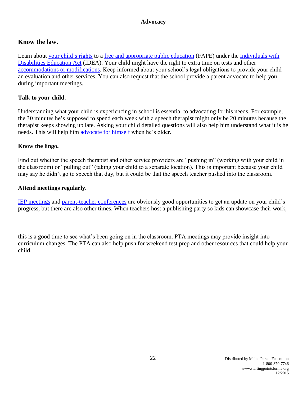# **Know the law.**

Learn about [your child's rights](https://www.understood.org/en/school-learning/your-childs-rights/basics-about-childs-rights) to a [free and appropriate public education](javascript:void(0);) (FAPE) under the [Individuals with](javascript:void(0);)  [Disabilities Education Act](javascript:void(0);) (IDEA). Your child might have the right to extra time on tests and other [accommodations or modifications.](https://www.understood.org/en/learning-attention-issues/treatments-approaches/educational-strategies/accommodations-and-modifications-how-theyre-different) Keep informed about your school's legal obligations to provide your child an evaluation and other services. You can also request that the school provide a parent advocate to help you during important meetings.

# **Talk to your child.**

Understanding what your child is experiencing in school is essential to advocating for his needs. For example, the 30 minutes he's supposed to spend each week with a speech therapist might only be 20 minutes because the therapist keeps showing up late. Asking your child detailed questions will also help him understand what it is he needs. This will help him [advocate for himself](https://www.understood.org/en/friends-feelings/empowering-your-child/self-advocacy/the-importance-of-self-advocacy) when he's older.

# **Know the lingo.**

Find out whether the speech therapist and other service providers are "pushing in" (working with your child in the classroom) or "pulling out" (taking your child to a separate location). This is important because your child may say he didn't go to speech that day, but it could be that the speech teacher pushed into the classroom.

# **Attend meetings regularly.**

[IEP meetings](https://www.understood.org/en/school-learning/special-services/ieps/the-iep-meeting-an-overview) and [parent-teacher conferences](https://www.understood.org/en/school-learning/partnering-with-childs-school/working-with-childs-teacher/tips-successful-parent-teacher-conference) are obviously good opportunities to get an update on your child's progress, but there are also other times. When teachers host a publishing party so kids can showcase their work,

this is a good time to see what's been going on in the classroom. PTA meetings may provide insight into curriculum changes. The PTA can also help push for weekend test prep and other resources that could help your child.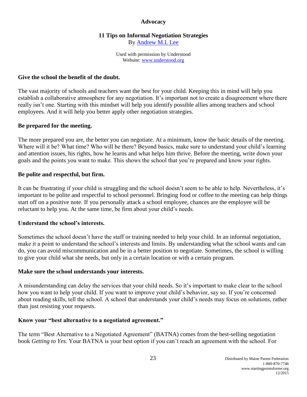#### **11 Tips on Informal Negotiation Strategies** By [Andrew M.I. Lee](https://www.understood.org/en/about/authors/andrew-m-i-lee)

Used with permission by Understood Website: [www.understood.org](http://www.understood.org/)

#### **Give the school the benefit of the doubt.**

The vast majority of schools and teachers want the best for your child. Keeping this in mind will help you establish a collaborative atmosphere for any negotiation. It's important not to create a disagreement where there really isn't one. Starting with this mindset will help you identify possible allies among teachers and school employees. And it will help you better apply other negotiation strategies.

#### **Be prepared for the meeting.**

The more prepared you are, the better you can negotiate. At a minimum, know the basic details of the meeting. Where will it be? What time? Who will be there? Beyond basics, make sure to understand your child's learning and attention issues, his rights, how he learns and what helps him thrive. Before the meeting, write down your goals and the points you want to make. This shows the school that you're prepared and know your rights.

#### **Be polite and respectful, but firm.**

It can be frustrating if your child is struggling and the school doesn't seem to be able to help. Nevertheless, it's important to be polite and respectful to school personnel. Bringing food or coffee to the meeting can help things start off on a positive note. If you personally attack a school employee, chances are the employee will be reluctant to help you. At the same time, be firm about your child's needs.

#### **Understand the school's interests.**

Sometimes the school doesn't have the staff or training needed to help your child. In an informal negotiation, make it a point to understand the school's interests and limits. By understanding what the school wants and can do, you can avoid miscommunication and be in a better position to negotiate. Sometimes, the school is willing to give your child what she needs, but only in a certain location or with a certain program.

#### **Make sure the school understands your interests.**

A misunderstanding can delay the services that your child needs. So it's important to make clear to the school how you want to help your child. If you want to improve your child's behavior, say so. If you're concerned about reading skills, tell the school. A school that understands your child's needs may focus on solutions, rather than just resisting your requests.

#### **Know your "best alternative to a negotiated agreement."**

The term "Best Alternative to a Negotiated Agreement" (BATNA) comes from the best-selling negotiation book *Getting to Yes*. Your BATNA is your best option if you can't reach an agreement with the school. For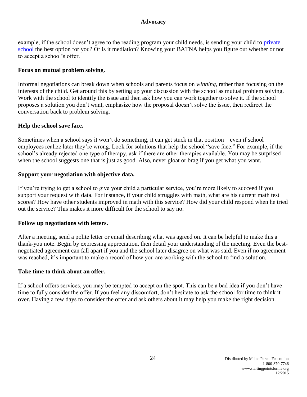example, if the school doesn't agree to the reading program your child needs, is sending your child to [private](javascript:void(0);)  [school](javascript:void(0);) the best option for you? Or is it mediation? Knowing your BATNA helps you figure out whether or not to accept a school's offer.

# **Focus on mutual problem solving.**

Informal negotiations can break down when schools and parents focus on *winning*, rather than focusing on the interests of the child. Get around this by setting up your discussion with the school as mutual problem solving. Work with the school to identify the issue and then ask how you can work together to solve it. If the school proposes a solution you don't want, emphasize how the proposal doesn't solve the issue, then redirect the conversation back to problem solving.

# **Help the school save face.**

Sometimes when a school says it won't do something, it can get stuck in that position—even if school employees realize later they're wrong. Look for solutions that help the school "save face." For example, if the school's already rejected one type of therapy, ask if there are other therapies available. You may be surprised when the school suggests one that is just as good. Also, never gloat or brag if you get what you want.

# **Support your negotiation with objective data.**

If you're trying to get a school to give your child a particular service, you're more likely to succeed if you support your request with data. For instance, if your child struggles with math, what are his current math test scores? How have other students improved in math with this service? How did your child respond when he tried out the service? This makes it more difficult for the school to say no.

# **Follow up negotiations with letters.**

After a meeting, send a polite letter or email describing what was agreed on. It can be helpful to make this a thank-you note. Begin by expressing appreciation, then detail your understanding of the meeting. Even the bestnegotiated agreement can fall apart if you and the school later disagree on what was said. Even if no agreement was reached, it's important to make a record of how you are working with the school to find a solution.

# **Take time to think about an offer.**

If a school offers services, you may be tempted to accept on the spot. This can be a bad idea if you don't have time to fully consider the offer. If you feel any discomfort, don't hesitate to ask the school for time to think it over. Having a few days to consider the offer and ask others about it may help you make the right decision.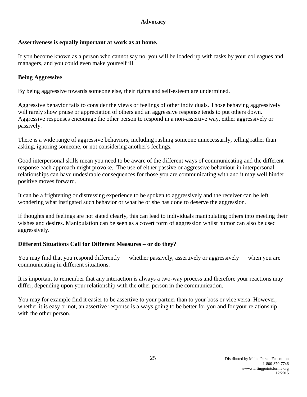# **Assertiveness is equally important at work as at home.**

If you become known as a person who cannot say no, you will be loaded up with tasks by your colleagues and managers, and you could even make yourself ill.

# **Being Aggressive**

By being aggressive towards someone else, their rights and self-esteem are undermined.

Aggressive behavior fails to consider the views or feelings of other individuals. Those behaving aggressively will rarely show praise or appreciation of others and an aggressive response tends to put others down. Aggressive responses encourage the other person to respond in a non-assertive way, either aggressively or passively.

There is a wide range of aggressive behaviors, including rushing someone unnecessarily, telling rather than asking, ignoring someone, or not considering another's feelings.

Good interpersonal skills mean you need to be aware of the different ways of communicating and the different response each approach might provoke. The use of either passive or aggressive behaviour in interpersonal relationships can have undesirable consequences for those you are communicating with and it may well hinder positive moves forward.

It can be a frightening or distressing experience to be spoken to aggressively and the receiver can be left wondering what instigated such behavior or what he or she has done to deserve the aggression.

If thoughts and feelings are not stated clearly, this can lead to individuals manipulating others into meeting their wishes and desires. Manipulation can be seen as a covert form of aggression whilst humor can also be used aggressively.

# **Different Situations Call for Different Measures – or do they?**

You may find that you respond differently — whether passively, assertively or aggressively — when you are communicating in different situations.

It is important to remember that any interaction is always a two-way process and therefore your reactions may differ, depending upon your relationship with the other person in the communication.

You may for example find it easier to be assertive to your partner than to your boss or vice versa. However, whether it is easy or not, an assertive response is always going to be better for you and for your relationship with the other person.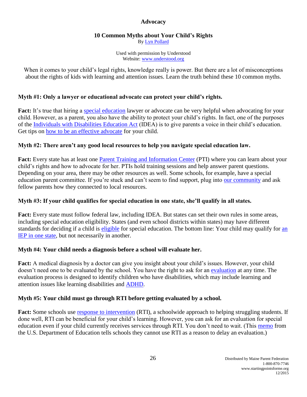#### **10 Common Myths about Your Child's Rights**  By [Lyn Pollard](https://www.understood.org/en/about/authors/lyn-pollard)

Used with permission by Understood Website: [www.understood.org](http://www.understood.org/)

When it comes to your child's legal rights, knowledge really is power. But there are a lot of misconceptions about the rights of kids with learning and attention issues. Learn the truth behind these 10 common myths.

# **Myth #1: Only a lawyer or educational advocate can protect your child's rights.**

**Fact:** It's true that hiring a [special education](javascript:void(0);) lawyer or advocate can be very helpful when advocating for your child. However, as a parent, you also have the ability to protect your child's rights. In fact, one of the purposes of the [Individuals with Disabilities Education Act](https://www.understood.org/en/school-learning/your-childs-rights/basics-about-childs-rights/how-idea-protects-you-and-your-child) (IDEA) is to give parents a voice in their child's education. Get tips on [how to be an effective advocate](https://www.understood.org/en/school-learning/partnering-with-childs-school/working-with-childs-teacher/10-ways-to-be-an-effective-advocate-for-your-child) for your child.

# **Myth #2: There aren't any good local resources to help you navigate special education law.**

Fact: Every state has at least one **Parent Training and Information Center** (PTI) where you can learn about your child's rights and how to advocate for her. PTIs hold training sessions and help answer parent questions. Depending on your area, there may be other resources as well. Some schools, for example, have a special education parent committee. If you're stuck and can't seem to find support, plug into [our community](https://www.understood.org/en/community-events/parents-like-me) and ask fellow parents how they connected to local resources.

# **Myth #3: If your child qualifies for special education in one state, she'll qualify in all states.**

**Fact:** Every state must follow federal law, including IDEA. But states can set their own rules in some areas, including special education eligibility. States (and even school districts within states) may have different standards for deciding if a child is [eligible](https://www.understood.org/en/school-learning/special-services/special-education-basics/finding-out-if-your-child-is-eligible-for-special-education) for special education. The bottom line: Your child may qualify for an [IEP in one state,](https://www.understood.org/en/school-learning/choosing-starting-school/finding-right-school/what-happens-to-your-childs-iep-if-you-switch-schools) but not necessarily in another.

# **Myth #4: Your child needs a diagnosis before a school will evaluate her.**

**Fact:** A medical diagnosis by a doctor can give you insight about your child's issues. However, your child doesn't need one to be evaluated by the school. You have the right to ask for an [evaluation](https://www.understood.org/en/school-learning/evaluations/evaluation-basics/understanding-the-full-evaluation-process) at any time. The evaluation process is designed to identify children who have disabilities, which may include learning and attention issues like learning disabilities and [ADHD.](javascript:void(0);)

# **Myth #5: Your child must go through RTI before getting evaluated by a school.**

**Fact:** Some schools use [response to intervention](https://www.understood.org/en/school-learning/special-services/rti/understanding-response-to-intervention) (RTI), a schoolwide approach to helping struggling students. If done well, RTI can be beneficial for your child's learning. However, you can ask for an evaluation for special education even if your child currently receives services through RTI. You don't need to wait. (This [memo](http://www2.ed.gov/policy/speced/guid/idea/memosdcltrs/osep11-07rtimemo.pdf) from the U.S. Department of Education tells schools they cannot use RTI as a reason to delay an evaluation.)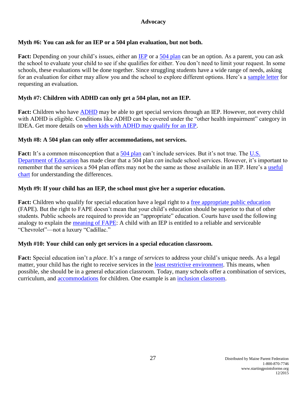# **Myth #6: You can ask for an IEP or a 504 plan evaluation, but not both.**

**Fact:** Depending on your child's issues, either an [IEP](javascript:void(0);) or a [504 plan](https://www.understood.org/en/school-learning/special-services/504-plan/understanding-504-plans) can be an option. As a parent, you can ask the school to evaluate your child to see if she qualifies for either. You don't need to limit your request. In some schools, these evaluations will be done together. Since struggling students have a wide range of needs, asking for an evaluation for either may allow you and the school to explore different options. Here's a [sample letter](https://www.understood.org/en/school-learning/evaluations/evaluation-basics/toolkit-for-parents-sample-letters-for-requesting-evaluations-and-reports) for requesting an evaluation.

# **Myth #7: Children with ADHD can only get a 504 plan, not an IEP.**

**Fact:** Children who have [ADHD](https://www.understood.org/en/learning-attention-issues/child-learning-disabilities/add-adhd/understanding-adhd) may be able to get special services through an IEP. However, not every child with ADHD is eligible. Conditions like ADHD can be covered under the "other health impairment" category in IDEA. Get more details on [when kids with ADHD may qualify for an IEP.](https://www.understood.org/en/school-learning/your-childs-rights/basics-about-childs-rights/are-kids-with-adhd-covered-under-idea)

# **Myth #8: A 504 plan can only offer accommodations, not services.**

**Fact:** It's a common misconception that a [504 plan](javascript:void(0);) can't include services. But it's not true. The U.S. [Department of Education](http://www2.ed.gov/about/offices/list/ocr/504faq.html) has made clear that a 504 plan *can* include school services. However, it's important to remember that the services a 504 plan offers may not be the same as those available in an IEP. Here's a [useful](https://www.understood.org/en/school-learning/special-services/504-plan/the-difference-between-ieps-and-504-plans)  [chart](https://www.understood.org/en/school-learning/special-services/504-plan/the-difference-between-ieps-and-504-plans) for understanding the differences.

# **Myth #9: If your child has an IEP, the school must give her a superior education.**

**Fact:** Children who qualify for special education have a legal right to a [free appropriate public education](https://www.understood.org/en/school-learning/your-childs-rights/basics-about-childs-rights/at-a-glance-free-and-appropriate-public-education) (FAPE). But the right to FAPE doesn't mean that your child's education should be superior to that of other students. Public schools are required to provide an "appropriate" education. Courts have used the following analogy to explain the [meaning of FAPE:](https://www.understood.org/en/school-learning/your-childs-rights/basics-about-childs-rights/checklist-what-is-and-isnt-covered-under-fape) A child with an IEP is entitled to a reliable and serviceable "Chevrolet"—not a luxury "Cadillac."

# **Myth #10: Your child can only get services in a special education classroom.**

**Fact:** Special education isn't a *place*. It's a range of *services* to address your child's unique needs. As a legal matter, your child has the right to receive services in the **least restrictive environment**. This means, when possible, she should be in a general education classroom. Today, many schools offer a combination of services, curriculum, and [accommodations](javascript:void(0);) for children. One example is an [inclusion classroom.](https://www.understood.org/en/school-learning/evaluations/choosing-not-to-have-child-evaluated/5-benefits-of-inclusion-classrooms)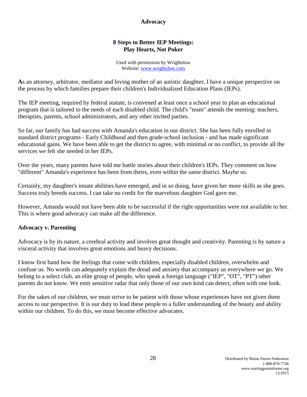#### **8 Steps to Better IEP Meetings: Play Hearts, Not Poker**

Used with permission by Wrightslaw Website: [www.wrightslaw.com](http://www.wrightslaw.com/)

**A**s an attorney, arbitrator, mediator and loving mother of an autistic daughter, I have a unique perspective on the process by which families prepare their children's Individualized Education Plans (IEPs).

The IEP meeting, required by federal statute, is convened at least once a school year to plan an educational program that is tailored to the needs of each disabled child. The child's "team" attends the meeting: teachers, therapists, parents, school administrators, and any other invited parties.

So far, our family has had success with Amanda's education in our district. She has been fully enrolled in standard district programs - Early Childhood and then grade-school inclusion - and has made significant educational gains. We have been able to get the district to agree, with minimal or no conflict, to provide all the services we felt she needed in her IEPs.

Over the years, many parents have told me battle stories about their children's IEPs. They comment on how "different" Amanda's experience has been from theirs, even within the same district. Maybe so.

Certainly, my daughter's innate abilities have emerged, and in so doing, have given her more skills as she goes. Success truly breeds success. I can take no credit for the marvelous daughter God gave me.

However, Amanda would not have been able to be successful if the right opportunities were not available to her. This is where good advocacy can make all the difference.

# **Advocacy v. Parenting**

Advocacy is by its nature, a cerebral activity and involves great thought and creativity. Parenting is by nature a visceral activity that involves great emotions and heavy decisions.

I know first hand how the feelings that come with children, especially disabled children, overwhelm and confuse us. No words can adequately explain the dread and anxiety that accompany us everywhere we go. We belong to a select club, an elite group of people, who speak a foreign language ("IEP", "OT", "PT") other parents do not know. We emit sensitive radar that only those of our own kind can detect, often with one look.

For the sakes of our children, we must strive to be patient with those whose experiences have not given them access to our perspective. It is our duty to lead these people to a fuller understanding of the beauty and ability within our children. To do this, we must become effective advocates.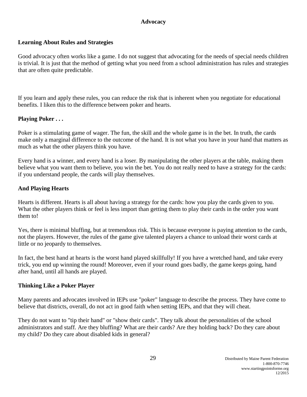# **Learning About Rules and Strategies**

Good advocacy often works like a game. I do not suggest that advocating for the needs of special needs children is trivial. It is just that the method of getting what you need from a school administration has rules and strategies that are often quite predictable.

If you learn and apply these rules, you can reduce the risk that is inherent when you negotiate for educational benefits. I liken this to the difference between poker and hearts.

#### **Playing Poker . . .**

Poker is a stimulating game of wager. The fun, the skill and the whole game is in the bet. In truth, the cards make only a marginal difference to the outcome of the hand. It is not what you have in your hand that matters as much as what the other players think you have.

Every hand is a winner, and every hand is a loser. By manipulating the other players at the table, making them believe what you want them to believe, you win the bet. You do not really need to have a strategy for the cards: if you understand people, the cards will play themselves.

#### **And Playing Hearts**

Hearts is different. Hearts is all about having a strategy for the cards: how you play the cards given to you. What the other players think or feel is less import than getting them to play their cards in the order you want them to!

Yes, there is minimal bluffing, but at tremendous risk. This is because everyone is paying attention to the cards, not the players. However, the rules of the game give talented players a chance to unload their worst cards at little or no jeopardy to themselves.

In fact, the best hand at hearts is the worst hand played skillfully! If you have a wretched hand, and take every trick, you end up winning the round! Moreover, even if your round goes badly, the game keeps going, hand after hand, until all hands are played.

#### **Thinking Like a Poker Player**

Many parents and advocates involved in IEPs use "poker" language to describe the process. They have come to believe that districts, overall, do not act in good faith when setting IEPs, and that they will cheat.

They do not want to "tip their hand" or "show their cards". They talk about the personalities of the school administrators and staff. Are they bluffing? What are their cards? Are they holding back? Do they care about my child? Do they care about disabled kids in general?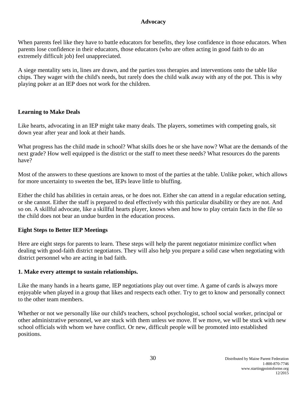When parents feel like they have to battle educators for benefits, they lose confidence in those educators. When parents lose confidence in their educators, those educators (who are often acting in good faith to do an extremely difficult job) feel unappreciated.

A siege mentality sets in, lines are drawn, and the parties toss therapies and interventions onto the table like chips. They wager with the child's needs, but rarely does the child walk away with any of the pot. This is why playing poker at an IEP does not work for the children.

# **Learning to Make Deals**

Like hearts, advocating in an IEP might take many deals. The players, sometimes with competing goals, sit down year after year and look at their hands.

What progress has the child made in school? What skills does he or she have now? What are the demands of the next grade? How well equipped is the district or the staff to meet these needs? What resources do the parents have?

Most of the answers to these questions are known to most of the parties at the table. Unlike poker, which allows for more uncertainty to sweeten the bet, IEPs leave little to bluffing.

Either the child has abilities in certain areas, or he does not. Either she can attend in a regular education setting, or she cannot. Either the staff is prepared to deal effectively with this particular disability or they are not. And so on. A skillful advocate, like a skillful hearts player, knows when and how to play certain facts in the file so the child does not bear an undue burden in the education process.

# **Eight Steps to Better IEP Meetings**

Here are eight steps for parents to learn. These steps will help the parent negotiator minimize conflict when dealing with good-faith district negotiators. They will also help you prepare a solid case when negotiating with district personnel who are acting in bad faith.

# **1. Make every attempt to sustain relationships.**

Like the many hands in a hearts game, IEP negotiations play out over time. A game of cards is always more enjoyable when played in a group that likes and respects each other. Try to get to know and personally connect to the other team members.

Whether or not we personally like our child's teachers, school psychologist, school social worker, principal or other administrative personnel, we are stuck with them unless we move. If we move, we will be stuck with new school officials with whom we have conflict. Or new, difficult people will be promoted into established positions.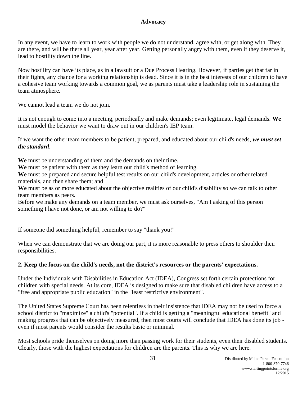In any event, we have to learn to work with people we do not understand, agree with, or get along with. They are there, and will be there all year, year after year. Getting personally angry with them, even if they deserve it, lead to hostility down the line.

Now hostility can have its place, as in a lawsuit or a Due Process Hearing. However, if parties get that far in their fights, any chance for a working relationship is dead. Since it is in the best interests of our children to have a cohesive team working towards a common goal, we as parents must take a leadership role in sustaining the team atmosphere.

We cannot lead a team we do not join.

It is not enough to come into a meeting, periodically and make demands; even legitimate, legal demands. **We** must model the behavior we want to draw out in our children's IEP team.

If we want the other team members to be patient, prepared, and educated about our child's needs, *we must set the standard*.

**We** must be understanding of them and the demands on their time.

**We** must be patient with them as they learn our child's method of learning.

**We** must be prepared and secure helpful test results on our child's development, articles or other related materials, and then share them; and

**We** must be as or more educated about the objective realities of our child's disability so we can talk to other team members as peers.

Before we make any demands on a team member, we must ask ourselves, "Am I asking of this person something I have not done, or am not willing to do?"

If someone did something helpful, remember to say "thank you!"

When we can demonstrate that we are doing our part, it is more reasonable to press others to shoulder their responsibilities.

# **2. Keep the focus on the child's needs, not the district's resources or the parents' expectations.**

Under the Individuals with Disabilities in Education Act (IDEA), Congress set forth certain protections for children with special needs. At its core, IDEA is designed to make sure that disabled children have access to a "free and appropriate public education" in the "least restrictive environment".

The United States Supreme Court has been relentless in their insistence that IDEA may not be used to force a school district to "maximize" a child's "potential". If a child is getting a "meaningful educational benefit" and making progress that can be objectively measured, then most courts will conclude that IDEA has done its job even if most parents would consider the results basic or minimal.

Most schools pride themselves on doing more than passing work for their students, even their disabled students. Clearly, those with the highest expectations for children are the parents. This is why we are here.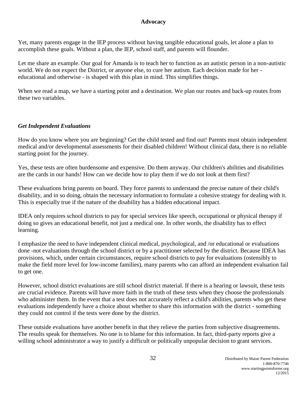Yet, many parents engage in the IEP process without having tangible educational goals, let alone a plan to accomplish these goals. Without a plan, the IEP, school staff, and parents will flounder.

Let me share an example. Our goal for Amanda is to teach her to function as an autistic person in a non-autistic world. We do not expect the District, or anyone else, to cure her autism. Each decision made for her educational and otherwise - is shaped with this plan in mind. This simplifies things.

When we read a map, we have a starting point and a destination. We plan our routes and back-up routes from these two variables.

# *Get Independent Evaluations*

How do you know where you are beginning? Get the child tested and find out! Parents must obtain independent medical and/or developmental assessments for their disabled children! Without clinical data, there is no reliable starting point for the journey.

Yes, these tests are often burdensome and expensive. Do them anyway. Our children's abilities and disabilities are the cards in our hands! How can we decide how to play them if we do not look at them first?

These evaluations bring parents on board. They force parents to understand the precise nature of their child's disability, and in so doing, obtain the necessary information to formulate a cohesive strategy for dealing with it. This is especially true if the nature of the disability has a hidden educational impact.

IDEA only requires school districts to pay for special services like speech, occupational or physical therapy if doing so gives an educational benefit, not just a medical one. In other words, the disability has to effect learning.

I emphasize the need to have independent clinical medical, psychological, and /or educational or evaluations done -not evaluations through the school district or by a practitioner selected by the district. Because IDEA has provisions, which, under certain circumstances, require school districts to pay for evaluations (ostensibly to make the field more level for low-income families), many parents who can afford an independent evaluation fail to get one.

However, school district evaluations are still school district material. If there is a hearing or lawsuit, these tests are crucial evidence. Parents will have more faith in the truth of these tests when they choose the professionals who administer them. In the event that a test does not accurately reflect a child's abilities, parents who get these evaluations independently have a choice about whether to share this information with the district - something they could not control if the tests were done by the district.

These outside evaluations have another benefit in that they relieve the parties from subjective disagreements. The results speak for themselves. No one is to blame for this information. In fact, third-party reports give a willing school administrator a way to justify a difficult or politically unpopular decision to grant services.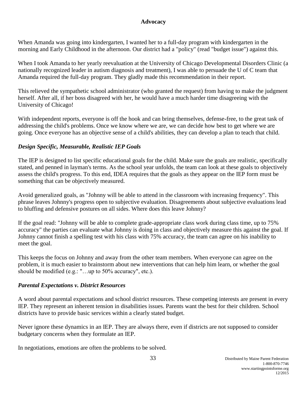When Amanda was going into kindergarten, I wanted her to a full-day program with kindergarten in the morning and Early Childhood in the afternoon. Our district had a "policy" (read "budget issue") against this.

When I took Amanda to her yearly reevaluation at the University of Chicago Developmental Disorders Clinic (a nationally recognized leader in autism diagnosis and treatment), I was able to persuade the U of C team that Amanda required the full-day program. They gladly made this recommendation in their report.

This relieved the sympathetic school administrator (who granted the request) from having to make the judgment herself. After all, if her boss disagreed with her, he would have a much harder time disagreeing with the University of Chicago!

With independent reports, everyone is off the hook and can bring themselves, defense-free, to the great task of addressing the child's problems. Once we know where we are, we can decide how best to get where we are going. Once everyone has an objective sense of a child's abilities, they can develop a plan to teach that child.

# *Design Specific, Measurable, Realistic IEP Goals*

The IEP is designed to list specific educational goals for the child. Make sure the goals are realistic, specifically stated, and penned in layman's terms. As the school year unfolds, the team can look at these goals to objectively assess the child's progress. To this end, IDEA requires that the goals as they appear on the IEP form must be something that can be objectively measured.

Avoid generalized goals, as "Johnny will be able to attend in the classroom with increasing frequency". This phrase leaves Johnny's progress open to subjective evaluation. Disagreements about subjective evaluations lead to bluffing and defensive postures on all sides. Where does this leave Johnny?

If the goal read: "Johnny will be able to complete grade-appropriate class work during class time, up to 75% accuracy" the parties can evaluate what Johnny is doing in class and objectively measure this against the goal. If Johnny cannot finish a spelling test with his class with 75% accuracy, the team can agree on his inability to meet the goal.

This keeps the focus on Johnny and away from the other team members. When everyone can agree on the problem, it is much easier to brainstorm about new interventions that can help him learn, or whether the goal should be modified (e.g.: "...up to 50% accuracy", etc.).

# *Parental Expectations v. District Resources*

A word about parental expectations and school district resources. These competing interests are present in every IEP. They represent an inherent tension in disabilities issues. Parents want the best for their children. School districts have to provide basic services within a clearly stated budget.

Never ignore these dynamics in an IEP. They are always there, even if districts are not supposed to consider budgetary concerns when they formulate an IEP.

In negotiations, emotions are often the problems to be solved.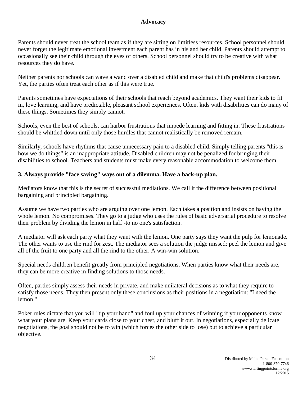Parents should never treat the school team as if they are sitting on limitless resources. School personnel should never forget the legitimate emotional investment each parent has in his and her child. Parents should attempt to occasionally see their child through the eyes of others. School personnel should try to be creative with what resources they do have.

Neither parents nor schools can wave a wand over a disabled child and make that child's problems disappear. Yet, the parties often treat each other as if this were true.

Parents sometimes have expectations of their schools that reach beyond academics. They want their kids to fit in, love learning, and have predictable, pleasant school experiences. Often, kids with disabilities can do many of these things. Sometimes they simply cannot.

Schools, even the best of schools, can harbor frustrations that impede learning and fitting in. These frustrations should be whittled down until only those hurdles that cannot realistically be removed remain.

Similarly, schools have rhythms that cause unnecessary pain to a disabled child. Simply telling parents "this is how we do things" is an inappropriate attitude. Disabled children may not be penalized for bringing their disabilities to school. Teachers and students must make every reasonable accommodation to welcome them.

# **3. Always provide "face saving" ways out of a dilemma. Have a back-up plan.**

Mediators know that this is the secret of successful mediations. We call it the difference between positional bargaining and principled bargaining.

Assume we have two parties who are arguing over one lemon. Each takes a position and insists on having the whole lemon. No compromises. They go to a judge who uses the rules of basic adversarial procedure to resolve their problem by dividing the lemon in half -to no one's satisfaction.

A mediator will ask each party what they want with the lemon. One party says they want the pulp for lemonade. The other wants to use the rind for zest. The mediator sees a solution the judge missed: peel the lemon and give all of the fruit to one party and all the rind to the other. A win-win solution.

Special needs children benefit greatly from principled negotiations. When parties know what their needs are, they can be more creative in finding solutions to those needs.

Often, parties simply assess their needs in private, and make unilateral decisions as to what they require to satisfy those needs. They then present only these conclusions as their positions in a negotiation: "I need the lemon."

Poker rules dictate that you will "tip your hand" and foul up your chances of winning if your opponents know what your plans are. Keep your cards close to your chest, and bluff it out. In negotiations, especially delicate negotiations, the goal should not be to win (which forces the other side to lose) but to achieve a particular objective.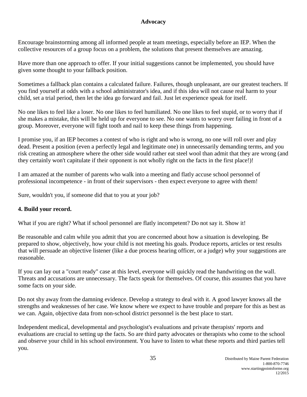Encourage brainstorming among all informed people at team meetings, especially before an IEP. When the collective resources of a group focus on a problem, the solutions that present themselves are amazing.

Have more than one approach to offer. If your initial suggestions cannot be implemented, you should have given some thought to your fallback position.

Sometimes a fallback plan contains a calculated failure. Failures, though unpleasant, are our greatest teachers. If you find yourself at odds with a school administrator's idea, and if this idea will not cause real harm to your child, set a trial period, then let the idea go forward and fail. Just let experience speak for itself.

No one likes to feel like a loser. No one likes to feel humiliated. No one likes to feel stupid, or to worry that if she makes a mistake, this will be held up for everyone to see. No one wants to worry over failing in front of a group. Moreover, everyone will fight tooth and nail to keep these things from happening.

I promise you, if an IEP becomes a contest of who is right and who is wrong, no one will roll over and play dead. Present a position (even a perfectly legal and legitimate one) in unnecessarily demanding terms, and you risk creating an atmosphere where the other side would rather eat steel wool than admit that they are wrong (and they certainly won't capitulate if their opponent is not wholly right on the facts in the first place!)!

I am amazed at the number of parents who walk into a meeting and flatly accuse school personnel of professional incompetence - in front of their supervisors - then expect everyone to agree with them!

Sure, wouldn't you, if someone did that to you at your job?

# **4. Build your record.**

What if you are right? What if school personnel are flatly incompetent? Do not say it. Show it!

Be reasonable and calm while you admit that you are concerned about how a situation is developing. Be prepared to show, objectively, how your child is not meeting his goals. Produce reports, articles or test results that will persuade an objective listener (like a due process hearing officer, or a judge) why your suggestions are reasonable.

If you can lay out a "court ready" case at this level, everyone will quickly read the handwriting on the wall. Threats and accusations are unnecessary. The facts speak for themselves. Of course, this assumes that you have some facts on your side.

Do not shy away from the damning evidence. Develop a strategy to deal with it. A good lawyer knows all the strengths and weaknesses of her case. We know where we expect to have trouble and prepare for this as best as we can. Again, objective data from non-school district personnel is the best place to start.

Independent medical, developmental and psychologist's evaluations and private therapists' reports and evaluations are crucial to setting up the facts. So are third party advocates or therapists who come to the school and observe your child in his school environment. You have to listen to what these reports and third parties tell you.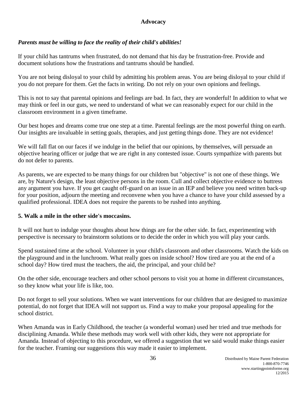# *Parents must be willing to face the reality of their child's abilities!*

If your child has tantrums when frustrated, do not demand that his day be frustration-free. Provide and document solutions how the frustrations and tantrums should be handled.

You are not being disloyal to your child by admitting his problem areas. You are being disloyal to your child if you do not prepare for them. Get the facts in writing. Do not rely on your own opinions and feelings.

This is not to say that parental opinions and feelings are bad. In fact, they are wonderful! In addition to what we may think or feel in our guts, we need to understand of what we can reasonably expect for our child in the classroom environment in a given timeframe.

Our best hopes and dreams come true one step at a time. Parental feelings are the most powerful thing on earth. Our insights are invaluable in setting goals, therapies, and just getting things done. They are not evidence!

We will fall flat on our faces if we indulge in the belief that our opinions, by themselves, will persuade an objective hearing officer or judge that we are right in any contested issue. Courts sympathize with parents but do not defer to parents.

As parents, we are expected to be many things for our children but "objective" is not one of these things. We are, by Nature's design, the least objective persons in the room. Cull and collect objective evidence to buttress any argument you have. If you get caught off-guard on an issue in an IEP and believe you need written back-up for your position, adjourn the meeting and reconvene when you have a chance to have your child assessed by a qualified professional. IDEA does not require the parents to be rushed into anything.

# **5. Walk a mile in the other side's moccasins.**

It will not hurt to indulge your thoughts about how things are for the other side. In fact, experimenting with perspective is necessary to brainstorm solutions or to decide the order in which you will play your cards.

Spend sustained time at the school. Volunteer in your child's classroom and other classrooms. Watch the kids on the playground and in the lunchroom. What really goes on inside school? How tired are you at the end of a school day? How tired must the teachers, the aid, the principal, and your child be?

On the other side, encourage teachers and other school persons to visit you at home in different circumstances, so they know what your life is like, too.

Do not forget to sell your solutions. When we want interventions for our children that are designed to maximize potential, do not forget that IDEA will not support us. Find a way to make your proposal appealing for the school district.

When Amanda was in Early Childhood, the teacher (a wonderful woman) used her tried and true methods for disciplining Amanda. While these methods may work well with other kids, they were not appropriate for Amanda. Instead of objecting to this procedure, we offered a suggestion that we said would make things easier for the teacher. Framing our suggestions this way made it easier to implement.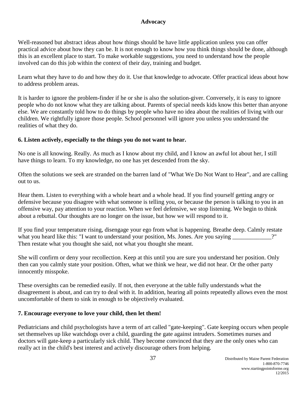Well-reasoned but abstract ideas about how things should be have little application unless you can offer practical advice about how they can be. It is not enough to know how you think things should be done, although this is an excellent place to start. To make workable suggestions, you need to understand how the people involved can do this job within the context of their day, training and budget.

Learn what they have to do and how they do it. Use that knowledge to advocate. Offer practical ideas about how to address problem areas.

It is harder to ignore the problem-finder if he or she is also the solution-giver. Conversely, it is easy to ignore people who do not know what they are talking about. Parents of special needs kids know this better than anyone else. We are constantly told how to do things by people who have no idea about the realities of living with our children. We rightfully ignore those people. School personnel will ignore you unless you understand the realities of what they do.

#### **6. Listen actively, especially to the things you do not want to hear.**

No one is all knowing. Really. As much as I know about my child, and I know an awful lot about her, I still have things to learn. To my knowledge, no one has yet descended from the sky.

Often the solutions we seek are stranded on the barren land of "What We Do Not Want to Hear", and are calling out to us.

Hear them. Listen to everything with a whole heart and a whole head. If you find yourself getting angry or defensive because you disagree with what someone is telling you, or because the person is talking to you in an offensive way, pay attention to your reaction. When we feel defensive, we stop listening. We begin to think about a rebuttal. Our thoughts are no longer on the issue, but how we will respond to it.

If you find your temperature rising, disengage your ego from what is happening. Breathe deep. Calmly restate what you heard like this: "I want to understand your position, Ms. Jones. Are you saying \_\_\_\_\_\_\_\_\_\_\_\_\_\_?" Then restate what you thought she said, not what you thought she meant.

She will confirm or deny your recollection. Keep at this until you are sure you understand her position. Only then can you calmly state your position. Often, what we think we hear, we did not hear. Or the other party innocently misspoke.

These oversights can be remedied easily. If not, then everyone at the table fully understands what the disagreement is about, and can try to deal with it. In addition, hearing all points repeatedly allows even the most uncomfortable of them to sink in enough to be objectively evaluated.

# **7. Encourage everyone to love your child, then let them!**

Pediatricians and child psychologists have a term of art called "gate-keeping". Gate keeping occurs when people set themselves up like watchdogs over a child, guarding the gate against intruders. Sometimes nurses and doctors will gate-keep a particularly sick child. They become convinced that they are the only ones who can really act in the child's best interest and actively discourage others from helping.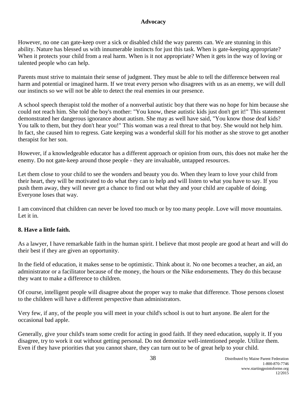However, no one can gate-keep over a sick or disabled child the way parents can. We are stunning in this ability. Nature has blessed us with innumerable instincts for just this task. When is gate-keeping appropriate? When it protects your child from a real harm. When is it not appropriate? When it gets in the way of loving or talented people who can help.

Parents must strive to maintain their sense of judgment. They must be able to tell the difference between real harm and potential or imagined harm. If we treat every person who disagrees with us as an enemy, we will dull our instincts so we will not be able to detect the real enemies in our presence.

A school speech therapist told the mother of a nonverbal autistic boy that there was no hope for him because she could not reach him. She told the boy's mother: "You know, these autistic kids just don't get it!" This statement demonstrated her dangerous ignorance about autism. She may as well have said, "You know those deaf kids? You talk to them, but they don't hear you!" This woman was a real threat to that boy. She would not help him. In fact, she caused him to regress. Gate keeping was a wonderful skill for his mother as she strove to get another therapist for her son.

However, if a knowledgeable educator has a different approach or opinion from ours, this does not make her the enemy. Do not gate-keep around those people - they are invaluable, untapped resources.

Let them close to your child to see the wonders and beauty you do. When they learn to love your child from their heart, they will be motivated to do what they can to help and will listen to what you have to say. If you push them away, they will never get a chance to find out what they and your child are capable of doing. Everyone loses that way.

I am convinced that children can never be loved too much or by too many people. Love will move mountains. Let it in.

# **8. Have a little faith.**

As a lawyer, I have remarkable faith in the human spirit. I believe that most people are good at heart and will do their best if they are given an opportunity.

In the field of education, it makes sense to be optimistic. Think about it. No one becomes a teacher, an aid, an administrator or a facilitator because of the money, the hours or the Nike endorsements. They do this because they want to make a difference to children.

Of course, intelligent people will disagree about the proper way to make that difference. Those persons closest to the children will have a different perspective than administrators.

Very few, if any, of the people you will meet in your child's school is out to hurt anyone. Be alert for the occasional bad apple.

Generally, give your child's team some credit for acting in good faith. If they need education, supply it. If you disagree, try to work it out without getting personal. Do not demonize well-intentioned people. Utilize them. Even if they have priorities that you cannot share, they can turn out to be of great help to your child.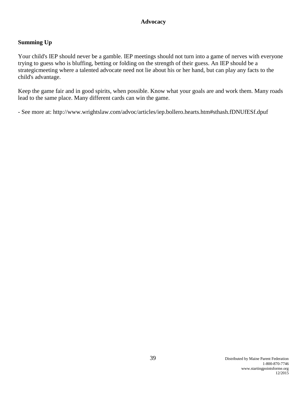# **Summing Up**

Your child's IEP should never be a gamble. IEP meetings should not turn into a game of nerves with everyone trying to guess who is bluffing, betting or folding on the strength of their guess. An IEP should be a strategicmeeting where a talented advocate need not lie about his or her hand, but can play any facts to the child's advantage.

Keep the game fair and in good spirits, when possible. Know what your goals are and work them. Many roads lead to the same place. Many different cards can win the game.

- See more at: http://www.wrightslaw.com/advoc/articles/iep.bollero.hearts.htm#sthash.fDNUfESf.dpuf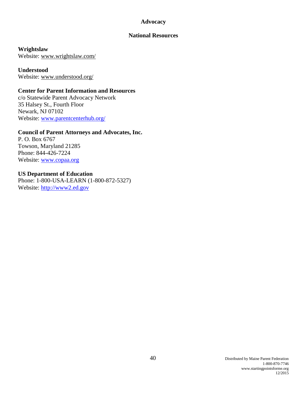#### **National Resources**

**Wrightslaw** Website: [www.wrightslaw.com/](http://www.wrightslaw.com/)

#### **Understood**

Website: [www.understood.org/](http://www.understood.org/)

#### **Center for Parent Information and Resources**

c/o Statewide Parent Advocacy Network 35 Halsey St., Fourth Floor Newark, NJ 07102 Website: [www.parentcenterhub.org/](http://www.parentcenterhub.org/)

#### **Council of Parent Attorneys and Advocates, Inc.**

P. O. Box 6767 Towson, Maryland 21285 Phone: 844-426-7224 Website: [www.copaa.org](http://www.copaa.org/)

# **US Department of Education**

Phone: 1-800-USA-LEARN (1-800-872-5327) Website: [http://www2.ed.gov](http://www2.ed.gov/)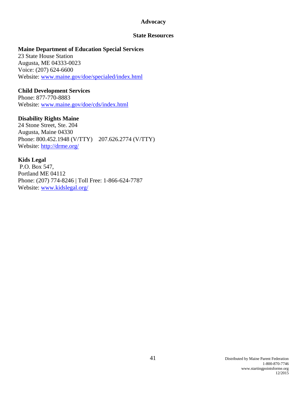#### **State Resources**

#### **Maine Department of Education Special Services**

23 State House Station Augusta, ME 04333-0023 Voice: (207) 624-6600 Website: [www.maine.gov/doe/specialed/index.html](http://www.maine.gov/doe/specialed/index.html)

#### **Child Development Services**

Phone: 877-770-8883 Website: [www.maine.gov/doe/cds/index.html](http://www.maine.gov/doe/cds/index.html)

#### **Disability Rights Maine**

24 Stone Street, Ste. 204 Augusta, Maine 04330 Phone: 800.452.1948 (V/TTY) 207.626.2774 (V/TTY) Website:<http://drme.org/>

#### **Kids Legal**

P.O. Box 547, Portland ME 04112 Phone: (207) 774-8246 | Toll Free: 1-866-624-7787 Website: [www.kidslegal.org/](http://www.kidslegal.org/)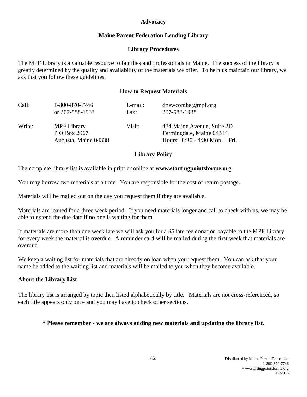# **Maine Parent Federation Lending Library**

#### **Library Procedures**

The MPF Library is a valuable resource to families and professionals in Maine. The success of the library is greatly determined by the quality and availability of the materials we offer. To help us maintain our library, we ask that you follow these guidelines.

#### **How to Request Materials**

| Call:  | 1-800-870-7746                                             | E-mail: | $d$ newcombe@mpf.org                                                                       |
|--------|------------------------------------------------------------|---------|--------------------------------------------------------------------------------------------|
|        | or 207-588-1933                                            | Fax:    | 207-588-1938                                                                               |
| Write: | <b>MPF Library</b><br>P O Box 2067<br>Augusta, Maine 04338 | Visit:  | 484 Maine Avenue, Suite 2D<br>Farmingdale, Maine 04344<br>Hours: $8:30 - 4:30$ Mon. - Fri. |

# **Library Policy**

The complete library list is available in print or online at **www.startingpointsforme.org**.

You may borrow two materials at a time. You are responsible for the cost of return postage.

Materials will be mailed out on the day you request them if they are available.

Materials are loaned for a three week period. If you need materials longer and call to check with us, we may be able to extend the due date if no one is waiting for them.

If materials are more than one week late we will ask you for a \$5 late fee donation payable to the MPF Library for every week the material is overdue. A reminder card will be mailed during the first week that materials are overdue.

We keep a waiting list for materials that are already on loan when you request them. You can ask that your name be added to the waiting list and materials will be mailed to you when they become available.

# **About the Library List**

The library list is arranged by topic then listed alphabetically by title. Materials are not cross-referenced, so each title appears only once and you may have to check other sections.

# **\* Please remember - we are always adding new materials and updating the library list.**